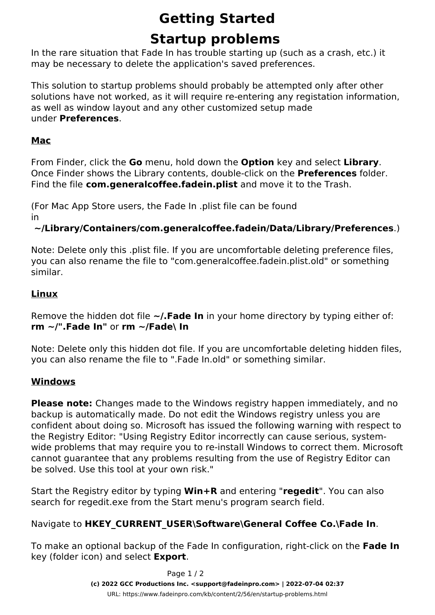# **Getting Started**

# **Startup problems**

In the rare situation that Fade In has trouble starting up (such as a crash, etc.) it may be necessary to delete the application's saved preferences.

This solution to startup problems should probably be attempted only after other solutions have not worked, as it will require re-entering any registation information, as well as window layout and any other customized setup made under **Preferences**.

### **Mac**

From Finder, click the **Go** menu, hold down the **Option** key and select **Library**. Once Finder shows the Library contents, double-click on the **Preferences** folder. Find the file **com.generalcoffee.fadein.plist** and move it to the Trash.

(For Mac App Store users, the Fade In .plist file can be found in

### **~/Library/Containers/com.generalcoffee.fadein/Data/Library/Preferences**.)

Note: Delete *only* this .plist file. If you are uncomfortable deleting preference files, you can also rename the file to "com.generalcoffee.fadein.plist.old" or something similar.

### **Linux**

Remove the hidden dot file **~/.Fade In** in your home directory by typing either of: **rm ~/".Fade In"** or **rm ~/Fade\ In**

Note: Delete *only* this hidden dot file. If you are uncomfortable deleting hidden files, you can also rename the file to ".Fade In.old" or something similar.

#### **Windows**

**Please note:** Changes made to the Windows registry happen immediately, and no backup is automatically made. Do not edit the Windows registry unless you are confident about doing so. Microsoft has issued the following warning with respect to the Registry Editor: *"Using Registry Editor incorrectly can cause serious, systemwide problems that may require you to re-install Windows to correct them. Microsoft cannot guarantee that any problems resulting from the use of Registry Editor can be solved. Use this tool at your own risk."*

Start the Registry editor by typing **Win+R** and entering "**regedit**". You can also search for regedit.exe from the Start menu's program search field.

#### Navigate to **HKEY\_CURRENT\_USER\Software\General Coffee Co.\Fade In**.

To make an optional backup of the Fade In configuration, right-click on the **Fade In** key (folder icon) and select **Export**.

> Page 1 / 2 **(c) 2022 GCC Productions Inc. <support@fadeinpro.com> | 2022-07-04 02:37** URL: https://www.fadeinpro.com/kb/content/2/56/en/startup-problems.html